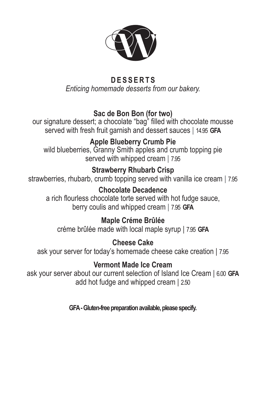

#### **DESSERTS** *Enticing homemade desserts from our bakery.*

### **Sac de Bon Bon (for two)**

our signature dessert; a chocolate "bag" filled with chocolate mousse served with fresh fruit garnish and dessert sauces **|** 14.95 **GFA**

# **Apple Blueberry Crumb Pie**

wild blueberries, Granny Smith apples and crumb topping pie served with whipped cream **|** 7.95

#### **Strawberry Rhubarb Crisp**

strawberries, rhubarb, crumb topping served with vanilla ice cream **|** 7.95

#### **Chocolate Decadence**

a rich flourless chocolate torte served with hot fudge sauce, berry coulis and whipped cream **|** 7.95 **GFA**

#### **Maple Créme Brûlée**

créme brûlée made with local maple syrup | 7.95 **GFA**

## **Cheese Cake**

ask your server for today's homemade cheese cake creation | 7.95

#### **Vermont Made Ice Cream**

ask your server about our current selection of Island Ice Cream | 6.00 **GFA** add hot fudge and whipped cream | 2.50

**GFA - Gluten-free preparation available, please specify.**